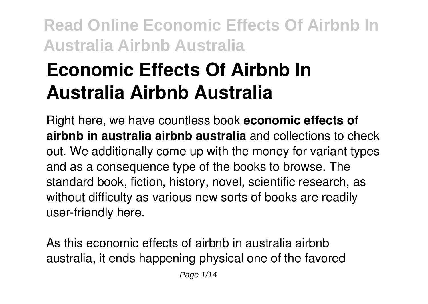# **Economic Effects Of Airbnb In Australia Airbnb Australia**

Right here, we have countless book **economic effects of airbnb in australia airbnb australia** and collections to check out. We additionally come up with the money for variant types and as a consequence type of the books to browse. The standard book, fiction, history, novel, scientific research, as without difficulty as various new sorts of books are readily user-friendly here.

As this economic effects of airbnb in australia airbnb australia, it ends happening physical one of the favored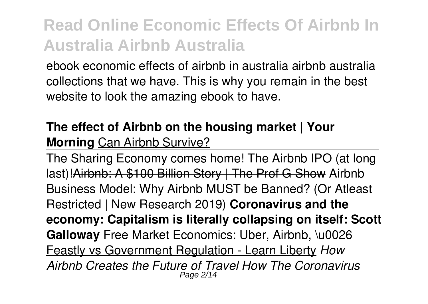ebook economic effects of airbnb in australia airbnb australia collections that we have. This is why you remain in the best website to look the amazing ebook to have.

#### **The effect of Airbnb on the housing market | Your Morning** Can Airbnb Survive?

The Sharing Economy comes home! The Airbnb IPO (at long last)!Airbnb: A \$100 Billion Story | The Prof G Show Airbnb Business Model: Why Airbnb MUST be Banned? (Or Atleast Restricted | New Research 2019) **Coronavirus and the economy: Capitalism is literally collapsing on itself: Scott Galloway** Free Market Economics: Uber, Airbnb, \u0026 Feastly vs Government Regulation - Learn Liberty *How Airbnb Creates the Future of Travel How The Coronavirus* Page 2/14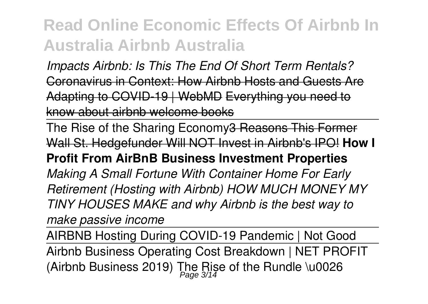*Impacts Airbnb: Is This The End Of Short Term Rentals?* Coronavirus in Context: How Airbnb Hosts and Guests Are Adapting to COVID-19 | WebMD Everything you need to know about airbnb welcome books

The Rise of the Sharing Economy 3 Reasons This Former Wall St. Hedgefunder Will NOT Invest in Airbnb's IPO! **How I**

#### **Profit From AirBnB Business Investment Properties**

*Making A Small Fortune With Container Home For Early Retirement (Hosting with Airbnb) HOW MUCH MONEY MY TINY HOUSES MAKE and why Airbnb is the best way to make passive income*

AIRBNB Hosting During COVID-19 Pandemic | Not Good Airbnb Business Operating Cost Breakdown | NET PROFIT (Airbnb Business 2019) The Rise of the Rundle \u0026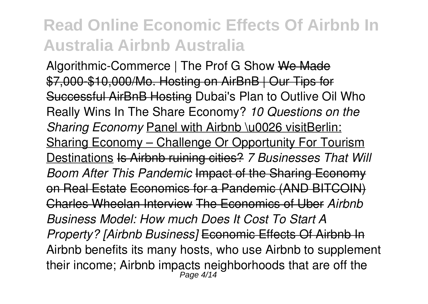Algorithmic-Commerce | The Prof G Show We Made \$7,000-\$10,000/Mo. Hosting on AirBnB | Our Tips for Successful AirBnB Hosting Dubai's Plan to Outlive Oil Who Really Wins In The Share Economy? *10 Questions on the* **Sharing Economy Panel with Airbnb \u0026 visitBerlin:** Sharing Economy – Challenge Or Opportunity For Tourism Destinations Is Airbnb ruining cities? *7 Businesses That Will Boom After This Pandemic* Impact of the Sharing Economy on Real Estate Economics for a Pandemic (AND BITCOIN) Charles Wheelan Interview The Economics of Uber *Airbnb Business Model: How much Does It Cost To Start A Property? [Airbnb Business]* Economic Effects Of Airbnb In Airbnb benefits its many hosts, who use Airbnb to supplement their income; Airbnb impacts neighborhoods that are off the Page 4/14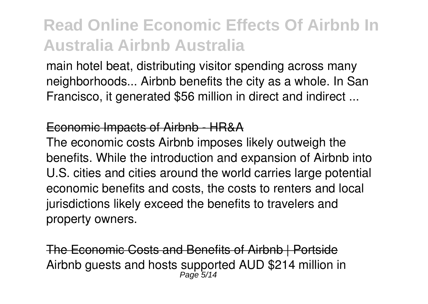main hotel beat, distributing visitor spending across many neighborhoods... Airbnb benefits the city as a whole. In San Francisco, it generated \$56 million in direct and indirect ...

#### Economic Impacts of Airbnb - HR&A

The economic costs Airbnb imposes likely outweigh the benefits. While the introduction and expansion of Airbnb into U.S. cities and cities around the world carries large potential economic benefits and costs, the costs to renters and local jurisdictions likely exceed the benefits to travelers and property owners.

The Economic Costs and Benefits of Airbnb | Portside Airbnb guests and hosts supported AUD \$214 million in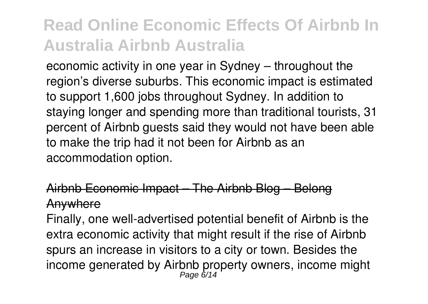economic activity in one year in Sydney – throughout the region's diverse suburbs. This economic impact is estimated to support 1,600 jobs throughout Sydney. In addition to staying longer and spending more than traditional tourists, 31 percent of Airbnb guests said they would not have been able to make the trip had it not been for Airbnb as an accommodation option.

#### Airbnb Economic Impact – The Airbnb Blog – Belong Anywhere

Finally, one well-advertised potential benefit of Airbnb is the extra economic activity that might result if the rise of Airbnb spurs an increase in visitors to a city or town. Besides the income generated by Airbnb property owners, income might<br>Page 6/14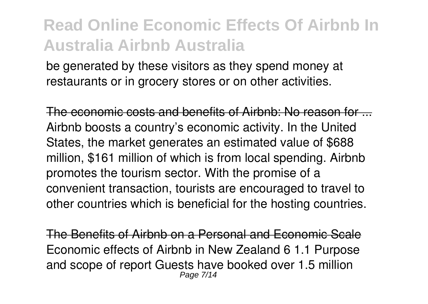be generated by these visitors as they spend money at restaurants or in grocery stores or on other activities.

The economic costs and benefits of Airbnb: No reason for ... Airbnb boosts a country's economic activity. In the United States, the market generates an estimated value of \$688 million, \$161 million of which is from local spending. Airbnb promotes the tourism sector. With the promise of a convenient transaction, tourists are encouraged to travel to other countries which is beneficial for the hosting countries.

The Benefits of Airbnb on a Personal and Economic Scale Economic effects of Airbnb in New Zealand 6 1.1 Purpose and scope of report Guests have booked over 1.5 million Page 7/14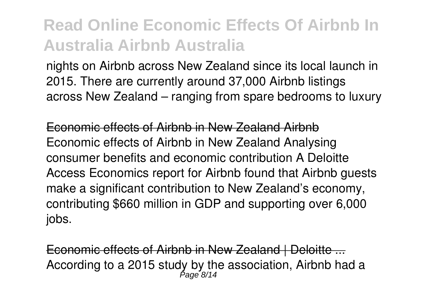nights on Airbnb across New Zealand since its local launch in 2015. There are currently around 37,000 Airbnb listings across New Zealand – ranging from spare bedrooms to luxury

Economic effects of Airbnb in New Zealand Airbnb Economic effects of Airbnb in New Zealand Analysing consumer benefits and economic contribution A Deloitte Access Economics report for Airbnb found that Airbnb guests make a significant contribution to New Zealand's economy, contributing \$660 million in GDP and supporting over 6,000 jobs.

Economic effects of Airbnb in New Zealand | Deloitte ... According to a 2015 study by the association, Airbnb had a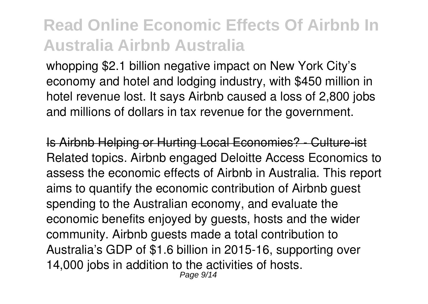whopping \$2.1 billion negative impact on New York City's economy and hotel and lodging industry, with \$450 million in hotel revenue lost. It says Airbnb caused a loss of 2,800 jobs and millions of dollars in tax revenue for the government.

Is Airbnb Helping or Hurting Local Economies? - Culture-ist Related topics. Airbnb engaged Deloitte Access Economics to assess the economic effects of Airbnb in Australia. This report aims to quantify the economic contribution of Airbnb guest spending to the Australian economy, and evaluate the economic benefits enjoyed by guests, hosts and the wider community. Airbnb guests made a total contribution to Australia's GDP of \$1.6 billion in 2015-16, supporting over 14,000 jobs in addition to the activities of hosts. Page 9/14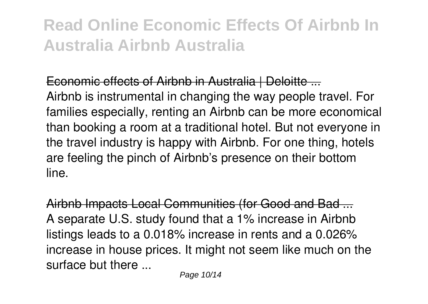#### Economic effects of Airbnb in Australia | Deloitte ...

Airbnb is instrumental in changing the way people travel. For families especially, renting an Airbnb can be more economical than booking a room at a traditional hotel. But not everyone in the travel industry is happy with Airbnb. For one thing, hotels are feeling the pinch of Airbnb's presence on their bottom line.

Airbnb Impacts Local Communities (for Good and Bad ... A separate U.S. study found that a 1% increase in Airbnb listings leads to a 0.018% increase in rents and a 0.026% increase in house prices. It might not seem like much on the surface but there ...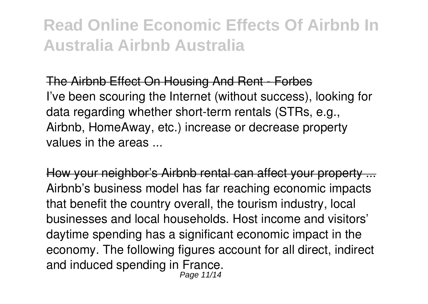The Airbnb Effect On Housing And Rent - Forbes I've been scouring the Internet (without success), looking for data regarding whether short-term rentals (STRs, e.g., Airbnb, HomeAway, etc.) increase or decrease property values in the areas ...

How your neighbor's Airbnb rental can affect your property ... Airbnb's business model has far reaching economic impacts that benefit the country overall, the tourism industry, local businesses and local households. Host income and visitors' daytime spending has a significant economic impact in the economy. The following figures account for all direct, indirect and induced spending in France. Page 11/14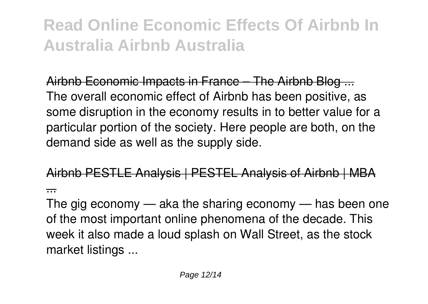Airbnb Economic Impacts in France – The Airbnb Blog ... The overall economic effect of Airbnb has been positive, as some disruption in the economy results in to better value for a particular portion of the society. Here people are both, on the demand side as well as the supply side.

Airbnb PESTLE Analysis | PESTEL Analysis of Airbnb | MBA ...

The gig economy — aka the sharing economy — has been one of the most important online phenomena of the decade. This week it also made a loud splash on Wall Street, as the stock market listings ...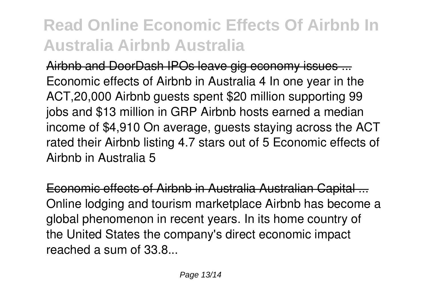Airbnb and DoorDash IPOs leave gig economy issues ... Economic effects of Airbnb in Australia 4 In one year in the ACT,20,000 Airbnb guests spent \$20 million supporting 99 jobs and \$13 million in GRP Airbnb hosts earned a median income of \$4,910 On average, guests staying across the ACT rated their Airbnb listing 4.7 stars out of 5 Economic effects of Airbnb in Australia 5

Economic effects of Airbnb in Australia Australian Capital ... Online lodging and tourism marketplace Airbnb has become a global phenomenon in recent years. In its home country of the United States the company's direct economic impact reached a sum of 33.8...